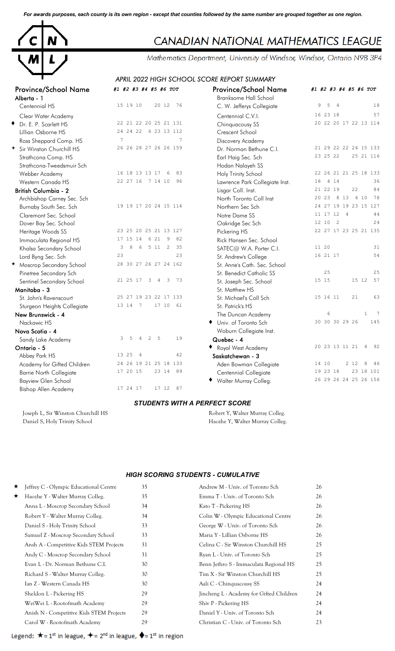*For awards purposes, each county is its own region - except that counties followed by the same number are grouped together as one region.*



# CANADIAN NATIONAL MATHEMATICS LEAGUE

Mathematics Department, University of Windsor, Windsor, Ontario N9B 3P4

## *APRIL 2022 HIGH SCHOOL SCORE REPORT SUMMARY*

| <b>Province/School Name</b><br>Alberta - 1 | #1 #2 #3 #4 #5 #6 TOT                                 | <b>Province/School Name</b><br><b>Branksome Hall School</b> | #1 #2 #3 #4 #5 #6 TOT          |
|--------------------------------------------|-------------------------------------------------------|-------------------------------------------------------------|--------------------------------|
| Centennial HS                              | 15 19 10<br>20 12<br>76                               | C. W. Jefferys Collegiate                                   | 5<br>18<br>9<br>$\overline{4}$ |
| Clear Water Academy                        |                                                       | Centennial C.V.I.                                           | 57<br>16 23 18                 |
| Dr. E. P. Scarlett HS                      | 22 21 22 20 25 21 131                                 | Chinquacousy SS                                             | 20 22 20 17 22 13 114          |
| Lillian Osborne HS                         | 24 24 22 6 23 13 112                                  | Crescent School                                             |                                |
| Ross Sheppard Comp. HS                     | $7\overline{ }$<br>$7\overline{ }$                    | Discovery Academy                                           |                                |
| + Sir Winston Churchill HS                 | 26 26 28 27 26 26 159                                 | Dr. Norman Bethune C.I.                                     | 21 29 22 22 24 15 133          |
| Strathcona Comp. HS                        |                                                       | Earl Haig Sec. Sch                                          | 23 25 22<br>25 21 116          |
| Strathcona-Tweedsmuir Sch                  |                                                       | Hodan Nalayeh SS                                            |                                |
| Webber Academy                             | 16 18 13 13 17<br>83<br>- 6                           | Holy Trinity School                                         | 22 26 21 21 25 18 133          |
| Western Canada HS                          | 22 27 16 7 14 10 96                                   | Lawrence Park Collegiate Inst.                              | 18<br>4 1 4<br>36              |
| <b>British Columbia - 2</b>                |                                                       | Lisgar Coll. Inst.                                          | 21 22 19<br>22<br>84           |
| Archbishop Carney Sec. Sch                 |                                                       | North Toronto Coll Inst                                     | 20 23 8 13 4 10<br>78          |
| Burnaby South Sec. Sch                     | 19 19 17 20 24 15 114                                 | Northern Sec Sch                                            | 24 27 19 19 23 15 127          |
| Claremont Sec. School                      |                                                       | Notre Dame SS                                               | 11 17 12 4<br>44               |
| Dover Bay Sec. School                      |                                                       | Oakridge Sec Sch                                            | 12 10 2<br>24                  |
| Heritage Woods SS                          | 23 25 20 25 21 13 127                                 | Pickering HS                                                | 22 27 17 23 25 21 135          |
| Immaculata Regional HS                     | 17 15 14 6 21 9<br>82                                 | Rick Hansen Sec. School                                     |                                |
| Khalsa Secondary School                    | 8 6<br>5 11 2<br>35<br>3                              | SATEC@ W.A. Porter C.I.                                     | 11 20<br>31                    |
| Lord Byng Sec. Sch                         | 23<br>23                                              | St. Andrew's College                                        | 16 21 17<br>54                 |
| * Moscrop Secondary School                 | 28 30 27 26 27 24 162                                 | St. Anne's Cath. Sec. School                                |                                |
| Pinetree Secondary Sch                     |                                                       | St. Benedict Catholic SS                                    | 25<br>25                       |
| Sentinel Secondary School                  | 21 25 17 3<br>$\mathbf{3}$<br>$\overline{4}$<br>73    | St. Joseph Sec. School                                      | 57<br>15 15<br>15 12           |
| Manitoba - 3                               |                                                       | St. Matthew HS                                              |                                |
| St. John's Ravenscourt                     | 25 27 19 23 22 17 133                                 | St. Michael's Coll Sch                                      | 15 16 11<br>21<br>63           |
| Sturgeon Heights Collegiate                | 13 14 7<br>17 10<br>61                                | St. Patrick's HS                                            |                                |
| New Brunswick - 4                          |                                                       | The Duncan Academy                                          | 6<br>$\mathbf{1}$<br>- 7       |
| Nackawic HS                                |                                                       | Univ. of Toronto Sch                                        | 30 30 30 29 26<br>145          |
| Nova Scotia - 4                            |                                                       | Woburn Collegiate Inst.                                     |                                |
| Sandy Lake Academy                         | $\overline{c}$<br>19<br>5<br>5<br>3<br>$\overline{4}$ | Quebec - 4                                                  |                                |
| Ontario - 5                                |                                                       | ◆ Royal West Academy                                        | 20 23 13 11 21<br>4 92         |
| Abbey Park HS                              | 13 25<br>$\overline{4}$<br>42                         | Saskatchewan - 3                                            |                                |
| Academy for Gifted Children                | 24 26 19 21 25 18 133                                 | Aden Bowman Collegiate                                      | 2 1 2<br>14 10<br>8<br>46      |
| <b>Barrie North Collegiate</b>             | 17 20 15<br>23 14<br>89                               | Centennial Collegiate                                       | 23 18 101<br>19 23 18          |
| <b>Bayview Glen School</b>                 |                                                       | • Walter Murray Colleg.                                     | 26 29 26 24 25 26 156          |
| Bishop Allen Academy                       | 17 24 17<br>17 12<br>87                               |                                                             |                                |

#### *STUDENTS WITH A PERFECT SCORE*

Joseph L, Sir Winston Churchill HS Robert Y, Walter Murray Colleg. Daniel S, Holy Trinity School Haozhe Y, Walter Murray Colleg.

#### *HIGH SCORING STUDENTS - CUMULATIVE*

| *       | Jeffrey C - Olympic Educational Centre   | 35 | Andrew M - Univ. of Toronto Sch          | 26 |
|---------|------------------------------------------|----|------------------------------------------|----|
| $\star$ | Haozhe Y - Walter Murray Colleg.         | 35 | Emma T - Univ. of Toronto Sch            | 26 |
|         | Anna L - Moscrop Secondary School        | 34 | Kato T - Pickering HS                    | 26 |
|         | Robert Y - Walter Murray Colleg.         | 34 | Colin W - Olympic Educational Centre     | 26 |
|         | Daniel S - Holy Trinity School           | 33 | George W - Univ. of Toronto Sch          | 26 |
|         | Samuel Z - Moscrop Secondary School      | 33 | Maria Y - Lillian Osborne HS             | 26 |
|         | Ansh A - Competitive Kids STEM Projects  | 31 | Celina C - Sir Winston Churchill HS      | 25 |
|         | Andy C - Moscrop Secondary School        | 31 | Ryan L - Univ. of Toronto Sch            | 25 |
|         | Evan L - Dr. Norman Bethune C.I.         | 30 | Benn Jethro S - Immaculata Regional HS   | 25 |
|         | Richard S - Walter Murray Colleg.        | 30 | Tim X - Sir Winston Churchill HS         | 25 |
|         | Ian Z - Western Canada HS                | 30 | Aali C - Chinquacousy SS                 | 24 |
|         | Sheldon L - Pickering HS                 | 29 | Jincheng L - Academy for Gifted Children | 24 |
|         | WeiWei L - Rootofmath Academy            | 29 | Shiv P - Pickering HS                    | 24 |
|         | Anish N - Competitive Kids STEM Projects | 29 | Daniel Y - Univ. of Toronto Sch          | 24 |
|         | Carol W - Rootofmath Academy             | 29 | Christian C - Univ. of Toronto Sch       | 23 |